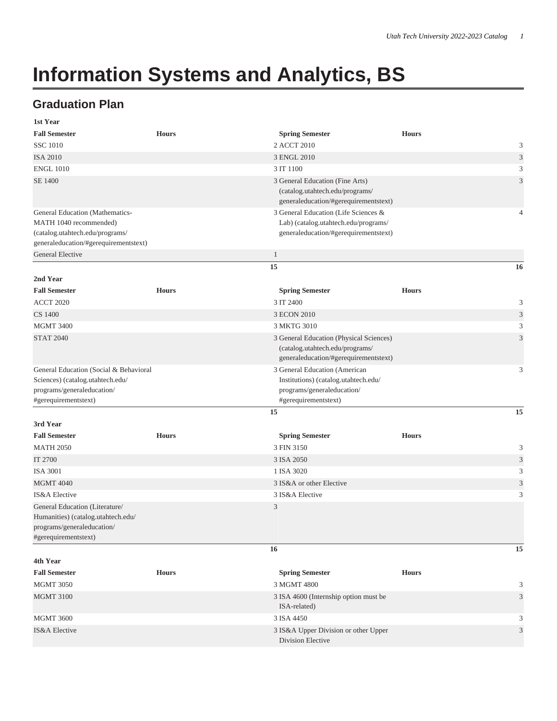## **Information Systems and Analytics, BS**

## **Graduation Plan**

| 1st Year                                                  |              |                                                                               |              |                |
|-----------------------------------------------------------|--------------|-------------------------------------------------------------------------------|--------------|----------------|
| <b>Fall Semester</b>                                      | <b>Hours</b> | <b>Spring Semester</b>                                                        | <b>Hours</b> |                |
| <b>SSC 1010</b>                                           |              | 2 ACCT 2010                                                                   |              | 3              |
| <b>ISA 2010</b>                                           |              | 3 ENGL 2010                                                                   |              | 3              |
| <b>ENGL 1010</b>                                          |              | 3 IT 1100                                                                     |              | 3              |
| SE 1400                                                   |              | 3 General Education (Fine Arts)                                               |              | 3              |
|                                                           |              | (catalog.utahtech.edu/programs/                                               |              |                |
|                                                           |              | generaleducation/#gerequirementstext)                                         |              |                |
| General Education (Mathematics-                           |              | 3 General Education (Life Sciences &                                          |              | $\overline{4}$ |
| MATH 1040 recommended)<br>(catalog.utahtech.edu/programs/ |              | Lab) (catalog.utahtech.edu/programs/<br>generaleducation/#gerequirementstext) |              |                |
| generaleducation/#gerequirementstext)                     |              |                                                                               |              |                |
| General Elective                                          |              | $\mathbf{1}$                                                                  |              |                |
|                                                           |              | 15                                                                            |              | 16             |
| 2nd Year                                                  |              |                                                                               |              |                |
| <b>Fall Semester</b>                                      | <b>Hours</b> | <b>Spring Semester</b>                                                        | <b>Hours</b> |                |
| <b>ACCT 2020</b>                                          |              | 3 IT 2400                                                                     |              | 3              |
| <b>CS 1400</b>                                            |              | 3 ECON 2010                                                                   |              | 3              |
| <b>MGMT 3400</b>                                          |              | 3 MKTG 3010                                                                   |              | 3              |
| <b>STAT 2040</b>                                          |              | 3 General Education (Physical Sciences)                                       |              | 3              |
|                                                           |              | (catalog.utahtech.edu/programs/                                               |              |                |
|                                                           |              | generaleducation/#gerequirementstext)                                         |              |                |
| General Education (Social & Behavioral                    |              | 3 General Education (American                                                 |              | 3              |
| Sciences) (catalog.utahtech.edu/                          |              | Institutions) (catalog.utahtech.edu/                                          |              |                |
| programs/generaleducation/                                |              | programs/generaleducation/                                                    |              |                |
| #gerequirementstext)                                      |              | #gerequirementstext)                                                          |              |                |
|                                                           |              | 15                                                                            |              | 15             |
| 3rd Year                                                  |              |                                                                               |              |                |
| <b>Fall Semester</b>                                      | <b>Hours</b> | <b>Spring Semester</b>                                                        | <b>Hours</b> |                |
| <b>MATH 2050</b>                                          |              | 3 FIN 3150                                                                    |              | 3              |
| IT 2700                                                   |              | 3 ISA 2050                                                                    |              | 3              |
| <b>ISA 3001</b>                                           |              | 1 ISA 3020                                                                    |              | 3              |
| <b>MGMT 4040</b>                                          |              | 3 IS&A or other Elective                                                      |              | 3              |
| IS&A Elective                                             |              | 3 IS&A Elective                                                               |              | 3              |
| General Education (Literature/                            |              | 3                                                                             |              |                |
| Humanities) (catalog.utahtech.edu/                        |              |                                                                               |              |                |
| programs/generaleducation/<br>#gerequirementstext)        |              |                                                                               |              |                |
|                                                           |              | 16                                                                            |              | 15             |
| 4th Year                                                  |              |                                                                               |              |                |
| <b>Fall Semester</b>                                      | <b>Hours</b> | <b>Spring Semester</b>                                                        | <b>Hours</b> |                |
| <b>MGMT 3050</b>                                          |              | 3 MGMT 4800                                                                   |              | 3              |
| <b>MGMT 3100</b>                                          |              | 3 ISA 4600 (Internship option must be                                         |              | 3              |
|                                                           |              | ISA-related)                                                                  |              |                |
| <b>MGMT 3600</b>                                          |              | 3 ISA 4450                                                                    |              | 3              |
| <b>IS&amp;A</b> Elective                                  |              | 3 IS&A Upper Division or other Upper                                          |              | 3              |
|                                                           |              | Division Elective                                                             |              |                |